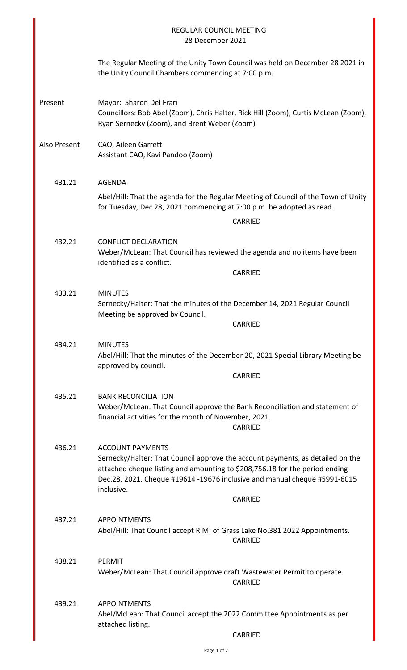|              | <b>REGULAR COUNCIL MEETING</b><br>28 December 2021                                                                                                                                                                                                                                             |
|--------------|------------------------------------------------------------------------------------------------------------------------------------------------------------------------------------------------------------------------------------------------------------------------------------------------|
|              | The Regular Meeting of the Unity Town Council was held on December 28 2021 in<br>the Unity Council Chambers commencing at 7:00 p.m.                                                                                                                                                            |
| Present      | Mayor: Sharon Del Frari<br>Councillors: Bob Abel (Zoom), Chris Halter, Rick Hill (Zoom), Curtis McLean (Zoom),<br>Ryan Sernecky (Zoom), and Brent Weber (Zoom)                                                                                                                                 |
| Also Present | CAO, Aileen Garrett<br>Assistant CAO, Kavi Pandoo (Zoom)                                                                                                                                                                                                                                       |
| 431.21       | <b>AGENDA</b><br>Abel/Hill: That the agenda for the Regular Meeting of Council of the Town of Unity<br>for Tuesday, Dec 28, 2021 commencing at 7:00 p.m. be adopted as read.<br>CARRIED                                                                                                        |
| 432.21       | <b>CONFLICT DECLARATION</b><br>Weber/McLean: That Council has reviewed the agenda and no items have been<br>identified as a conflict.<br>CARRIED                                                                                                                                               |
| 433.21       | <b>MINUTES</b><br>Sernecky/Halter: That the minutes of the December 14, 2021 Regular Council<br>Meeting be approved by Council.<br>CARRIED                                                                                                                                                     |
| 434.21       | <b>MINUTES</b><br>Abel/Hill: That the minutes of the December 20, 2021 Special Library Meeting be<br>approved by council.<br>CARRIED                                                                                                                                                           |
| 435.21       | <b>BANK RECONCILIATION</b><br>Weber/McLean: That Council approve the Bank Reconciliation and statement of<br>financial activities for the month of November, 2021.<br>CARRIED                                                                                                                  |
| 436.21       | <b>ACCOUNT PAYMENTS</b><br>Sernecky/Halter: That Council approve the account payments, as detailed on the<br>attached cheque listing and amounting to \$208,756.18 for the period ending<br>Dec.28, 2021. Cheque #19614 -19676 inclusive and manual cheque #5991-6015<br>inclusive.<br>CARRIED |
| 437.21       | <b>APPOINTMENTS</b><br>Abel/Hill: That Council accept R.M. of Grass Lake No.381 2022 Appointments.<br><b>CARRIED</b>                                                                                                                                                                           |
| 438.21       | PERMIT<br>Weber/McLean: That Council approve draft Wastewater Permit to operate.<br><b>CARRIED</b>                                                                                                                                                                                             |
| 439.21       | <b>APPOINTMENTS</b><br>Abel/McLean: That Council accept the 2022 Committee Appointments as per<br>attached listing.<br>CARRIED                                                                                                                                                                 |